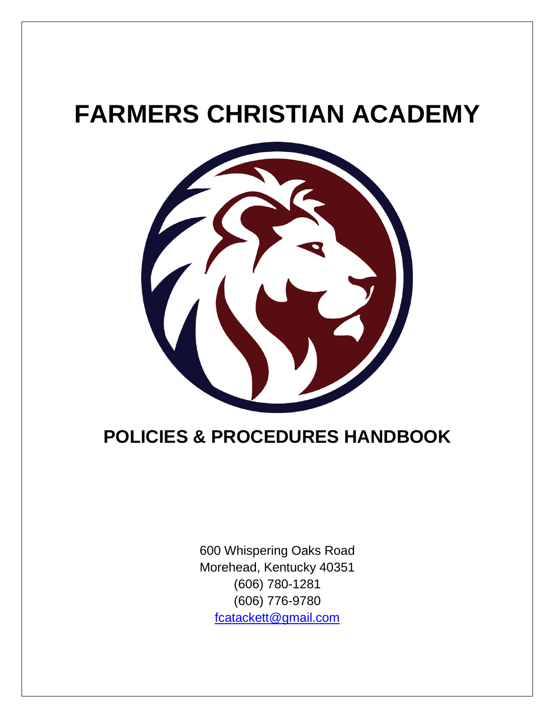# **FARMERS CHRISTIAN ACADEMY**



# **POLICIES & PROCEDURES HANDBOOK**

600 Whispering Oaks Road Morehead, Kentucky 40351 (606) 780-1281 (606) 776-9780 [fcatackett@gmail.com](mailto:fcatackett@gmail.com)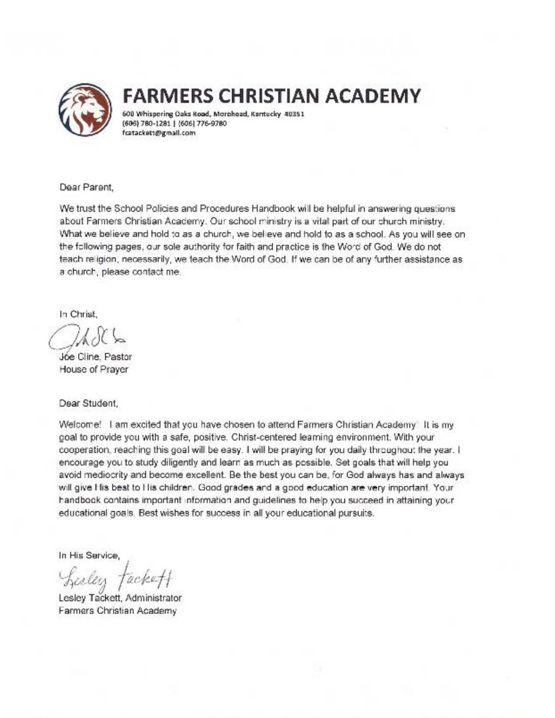

# **FARMERS CHRISTIAN ACADEMY**

600 Whispering Oaks Road, Morehead, Kentucky 40351 (606) 780-1281 | (606) 776-9780 fcatackett@gmall.com

Dear Parent.

We trust the School Policies and Procedures Handbook will be helpful in answering questions about Farmers Christian Academy. Our school ministry is a vital part of our church ministry. What we believe and hold to as a church, we believe and hold to as a school. As you will see on the following pages, our sole authority for faith and practice is the Word of God. We do not teach religion, necessarily, we teach the Word of God. If we can be of any further assistance as a church, please contact me.

In Christ.

Jóe Cline, Pastor House of Prayer

Dear Student.

Welcome! I am excited that you have chosen to attend Farmers Christian Academy' It is my goal to provide you with a safe, positive. Christ-centered learning environment. With your cooperation, reaching this goal will be easy. I will be praying for you daily throughout the year. I encourage you to study diligently and learn as much as possible. Set goals that will help you avoid mediocrity and become excellent. Be the best you can be, for God always has and always will give His best to His children. Good grades and a good education are very important. Your handbook contains important information and quidelines to help you succeed in attaining your educational goals. Best wishes for success in all your educational pursuits.

In His Service.

Lesley ackety

Lesley Tackett, Administrator Farmers Christian Academy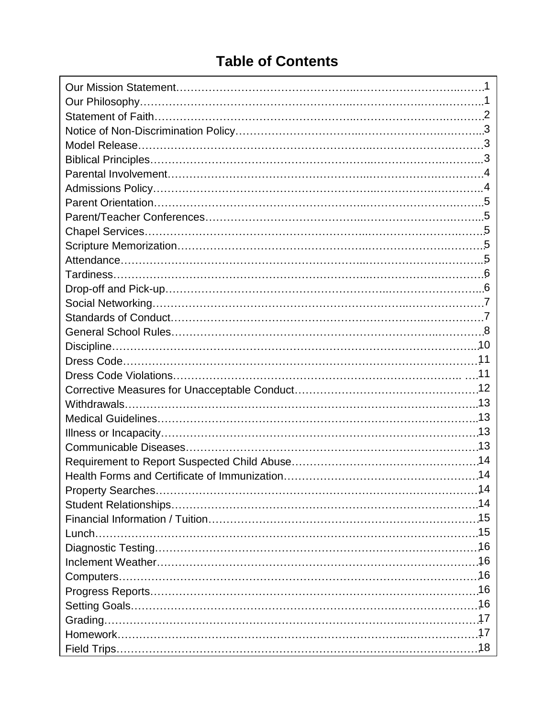## **Table of Contents**

| 14 |
|----|
|    |
|    |
|    |
|    |
|    |
|    |
|    |
|    |
|    |
|    |
|    |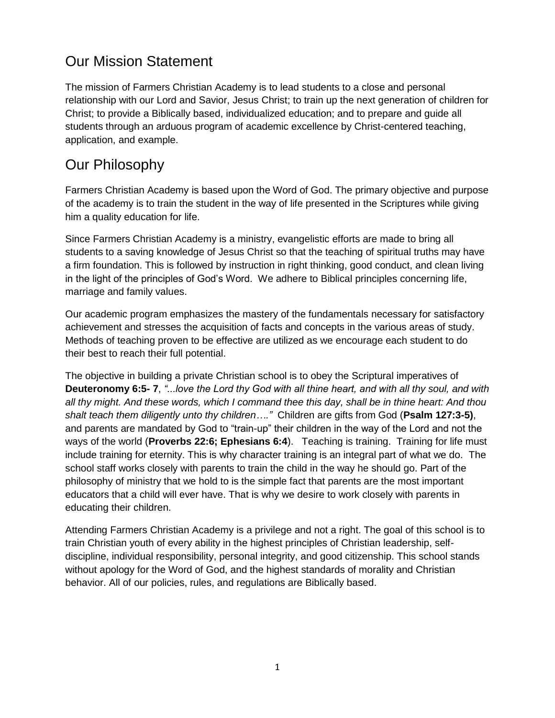### Our Mission Statement

The mission of Farmers Christian Academy is to lead students to a close and personal relationship with our Lord and Savior, Jesus Christ; to train up the next generation of children for Christ; to provide a Biblically based, individualized education; and to prepare and guide all students through an arduous program of academic excellence by Christ-centered teaching, application, and example.

### Our Philosophy

Farmers Christian Academy is based upon the Word of God. The primary objective and purpose of the academy is to train the student in the way of life presented in the Scriptures while giving him a quality education for life.

Since Farmers Christian Academy is a ministry, evangelistic efforts are made to bring all students to a saving knowledge of Jesus Christ so that the teaching of spiritual truths may have a firm foundation. This is followed by instruction in right thinking, good conduct, and clean living in the light of the principles of God's Word. We adhere to Biblical principles concerning life, marriage and family values.

Our academic program emphasizes the mastery of the fundamentals necessary for satisfactory achievement and stresses the acquisition of facts and concepts in the various areas of study. Methods of teaching proven to be effective are utilized as we encourage each student to do their best to reach their full potential.

The objective in building a private Christian school is to obey the Scriptural imperatives of **Deuteronomy 6:5- 7**, *"...love the Lord thy God with all thine heart, and with all thy soul, and with all thy might. And these words, which I command thee this day, shall be in thine heart: And thou shalt teach them diligently unto thy children…."* Children are gifts from God (**Psalm 127:3-5)**, and parents are mandated by God to "train-up" their children in the way of the Lord and not the ways of the world (**Proverbs 22:6; Ephesians 6:4**). Teaching is training. Training for life must include training for eternity. This is why character training is an integral part of what we do. The school staff works closely with parents to train the child in the way he should go. Part of the philosophy of ministry that we hold to is the simple fact that parents are the most important educators that a child will ever have. That is why we desire to work closely with parents in educating their children.

Attending Farmers Christian Academy is a privilege and not a right. The goal of this school is to train Christian youth of every ability in the highest principles of Christian leadership, selfdiscipline, individual responsibility, personal integrity, and good citizenship. This school stands without apology for the Word of God, and the highest standards of morality and Christian behavior. All of our policies, rules, and regulations are Biblically based.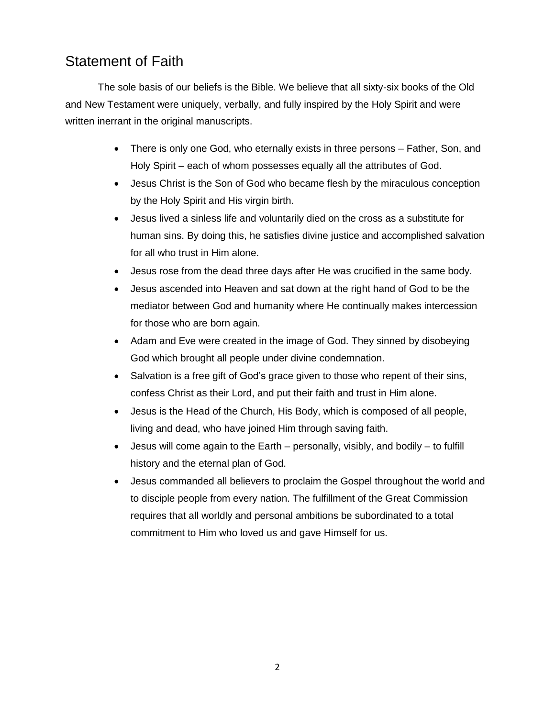### Statement of Faith

The sole basis of our beliefs is the Bible. We believe that all sixty-six books of the Old and New Testament were uniquely, verbally, and fully inspired by the Holy Spirit and were written inerrant in the original manuscripts.

- There is only one God, who eternally exists in three persons Father, Son, and Holy Spirit – each of whom possesses equally all the attributes of God.
- Jesus Christ is the Son of God who became flesh by the miraculous conception by the Holy Spirit and His virgin birth.
- Jesus lived a sinless life and voluntarily died on the cross as a substitute for human sins. By doing this, he satisfies divine justice and accomplished salvation for all who trust in Him alone.
- Jesus rose from the dead three days after He was crucified in the same body.
- Jesus ascended into Heaven and sat down at the right hand of God to be the mediator between God and humanity where He continually makes intercession for those who are born again.
- Adam and Eve were created in the image of God. They sinned by disobeying God which brought all people under divine condemnation.
- Salvation is a free gift of God's grace given to those who repent of their sins, confess Christ as their Lord, and put their faith and trust in Him alone.
- Jesus is the Head of the Church, His Body, which is composed of all people, living and dead, who have joined Him through saving faith.
- Jesus will come again to the Earth personally, visibly, and bodily to fulfill history and the eternal plan of God.
- Jesus commanded all believers to proclaim the Gospel throughout the world and to disciple people from every nation. The fulfillment of the Great Commission requires that all worldly and personal ambitions be subordinated to a total commitment to Him who loved us and gave Himself for us.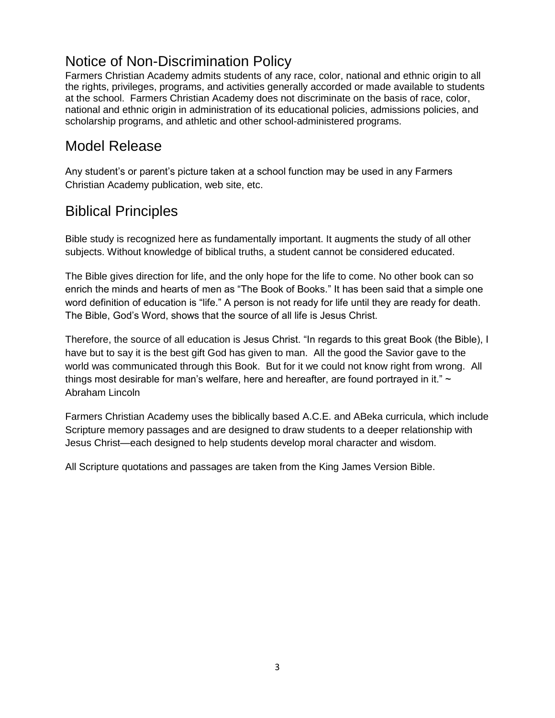### Notice of Non-Discrimination Policy

Farmers Christian Academy admits students of any race, color, national and ethnic origin to all the rights, privileges, programs, and activities generally accorded or made available to students at the school. Farmers Christian Academy does not discriminate on the basis of race, color, national and ethnic origin in administration of its educational policies, admissions policies, and scholarship programs, and athletic and other school-administered programs.

### Model Release

Any student's or parent's picture taken at a school function may be used in any Farmers Christian Academy publication, web site, etc.

### Biblical Principles

Bible study is recognized here as fundamentally important. It augments the study of all other subjects. Without knowledge of biblical truths, a student cannot be considered educated.

The Bible gives direction for life, and the only hope for the life to come. No other book can so enrich the minds and hearts of men as "The Book of Books." It has been said that a simple one word definition of education is "life." A person is not ready for life until they are ready for death. The Bible, God's Word, shows that the source of all life is Jesus Christ.

Therefore, the source of all education is Jesus Christ. "In regards to this great Book (the Bible), I have but to say it is the best gift God has given to man. All the good the Savior gave to the world was communicated through this Book. But for it we could not know right from wrong. All things most desirable for man's welfare, here and hereafter, are found portrayed in it."  $\sim$ Abraham Lincoln

Farmers Christian Academy uses the biblically based A.C.E. and ABeka curricula, which include Scripture memory passages and are designed to draw students to a deeper relationship with Jesus Christ—each designed to help students develop moral character and wisdom.

All Scripture quotations and passages are taken from the King James Version Bible.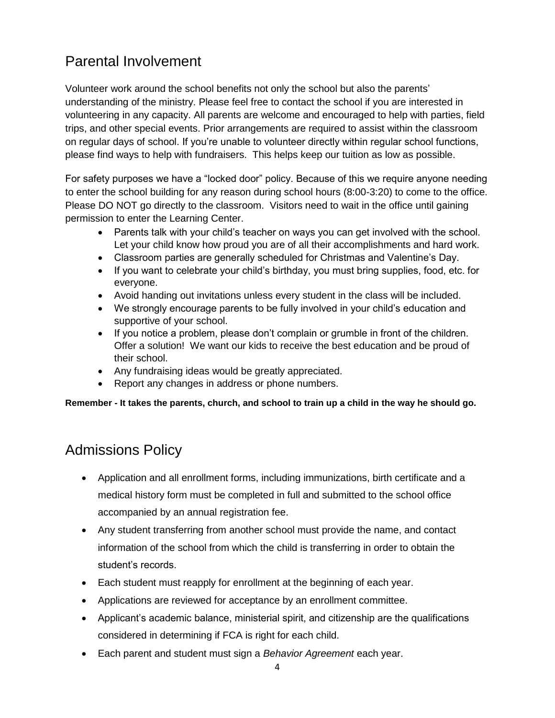### Parental Involvement

Volunteer work around the school benefits not only the school but also the parents' understanding of the ministry. Please feel free to contact the school if you are interested in volunteering in any capacity. All parents are welcome and encouraged to help with parties, field trips, and other special events. Prior arrangements are required to assist within the classroom on regular days of school. If you're unable to volunteer directly within regular school functions, please find ways to help with fundraisers. This helps keep our tuition as low as possible.

For safety purposes we have a "locked door" policy. Because of this we require anyone needing to enter the school building for any reason during school hours (8:00-3:20) to come to the office. Please DO NOT go directly to the classroom. Visitors need to wait in the office until gaining permission to enter the Learning Center.

- Parents talk with your child's teacher on ways you can get involved with the school. Let your child know how proud you are of all their accomplishments and hard work.
- Classroom parties are generally scheduled for Christmas and Valentine's Day.
- If you want to celebrate your child's birthday, you must bring supplies, food, etc. for everyone.
- Avoid handing out invitations unless every student in the class will be included.
- We strongly encourage parents to be fully involved in your child's education and supportive of your school.
- If you notice a problem, please don't complain or grumble in front of the children. Offer a solution! We want our kids to receive the best education and be proud of their school.
- Any fundraising ideas would be greatly appreciated.
- Report any changes in address or phone numbers.

**Remember - It takes the parents, church, and school to train up a child in the way he should go.**

### Admissions Policy

- Application and all enrollment forms, including immunizations, birth certificate and a medical history form must be completed in full and submitted to the school office accompanied by an annual registration fee.
- Any student transferring from another school must provide the name, and contact information of the school from which the child is transferring in order to obtain the student's records.
- Each student must reapply for enrollment at the beginning of each year.
- Applications are reviewed for acceptance by an enrollment committee.
- Applicant's academic balance, ministerial spirit, and citizenship are the qualifications considered in determining if FCA is right for each child.
- Each parent and student must sign a *Behavior Agreement* each year.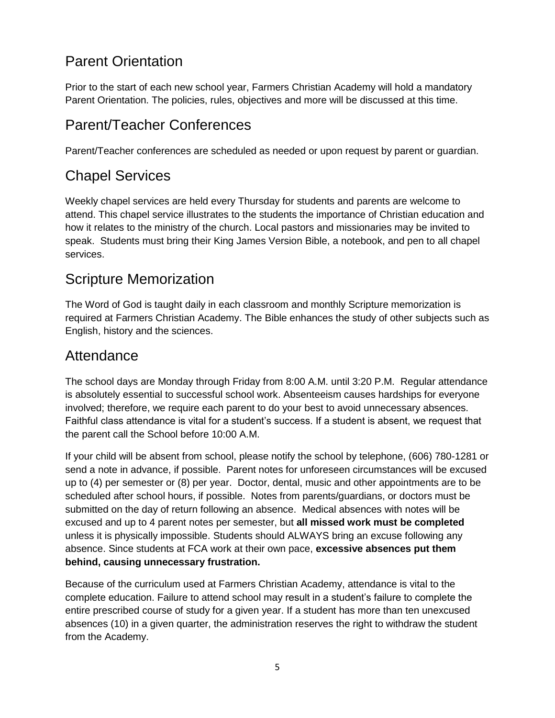### Parent Orientation

Prior to the start of each new school year, Farmers Christian Academy will hold a mandatory Parent Orientation. The policies, rules, objectives and more will be discussed at this time.

# Parent/Teacher Conferences

Parent/Teacher conferences are scheduled as needed or upon request by parent or guardian.

## Chapel Services

Weekly chapel services are held every Thursday for students and parents are welcome to attend. This chapel service illustrates to the students the importance of Christian education and how it relates to the ministry of the church. Local pastors and missionaries may be invited to speak. Students must bring their King James Version Bible, a notebook, and pen to all chapel services.

### Scripture Memorization

The Word of God is taught daily in each classroom and monthly Scripture memorization is required at Farmers Christian Academy. The Bible enhances the study of other subjects such as English, history and the sciences.

### Attendance

The school days are Monday through Friday from 8:00 A.M. until 3:20 P.M. Regular attendance is absolutely essential to successful school work. Absenteeism causes hardships for everyone involved; therefore, we require each parent to do your best to avoid unnecessary absences. Faithful class attendance is vital for a student's success. If a student is absent, we request that the parent call the School before 10:00 A.M.

If your child will be absent from school, please notify the school by telephone, (606) 780-1281 or send a note in advance, if possible. Parent notes for unforeseen circumstances will be excused up to (4) per semester or (8) per year. Doctor, dental, music and other appointments are to be scheduled after school hours, if possible. Notes from parents/guardians, or doctors must be submitted on the day of return following an absence. Medical absences with notes will be excused and up to 4 parent notes per semester, but **all missed work must be completed** unless it is physically impossible. Students should ALWAYS bring an excuse following any absence. Since students at FCA work at their own pace, **excessive absences put them behind, causing unnecessary frustration.** 

Because of the curriculum used at Farmers Christian Academy, attendance is vital to the complete education. Failure to attend school may result in a student's failure to complete the entire prescribed course of study for a given year. If a student has more than ten unexcused absences (10) in a given quarter, the administration reserves the right to withdraw the student from the Academy.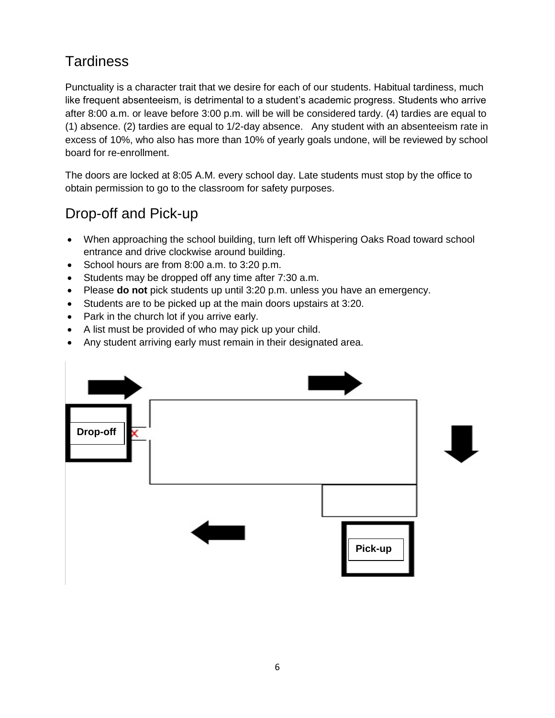# **Tardiness**

Punctuality is a character trait that we desire for each of our students. Habitual tardiness, much like frequent absenteeism, is detrimental to a student's academic progress. Students who arrive after 8:00 a.m. or leave before 3:00 p.m. will be will be considered tardy. (4) tardies are equal to (1) absence. (2) tardies are equal to 1/2-day absence. Any student with an absenteeism rate in excess of 10%, who also has more than 10% of yearly goals undone, will be reviewed by school board for re-enrollment.

The doors are locked at 8:05 A.M. every school day. Late students must stop by the office to obtain permission to go to the classroom for safety purposes.

# Drop-off and Pick-up

- When approaching the school building, turn left off Whispering Oaks Road toward school entrance and drive clockwise around building.
- School hours are from 8:00 a.m. to 3:20 p.m.
- Students may be dropped off any time after 7:30 a.m.
- Please **do not** pick students up until 3:20 p.m. unless you have an emergency.
- Students are to be picked up at the main doors upstairs at 3:20.
- Park in the church lot if you arrive early.
- A list must be provided of who may pick up your child.
- Any student arriving early must remain in their designated area.

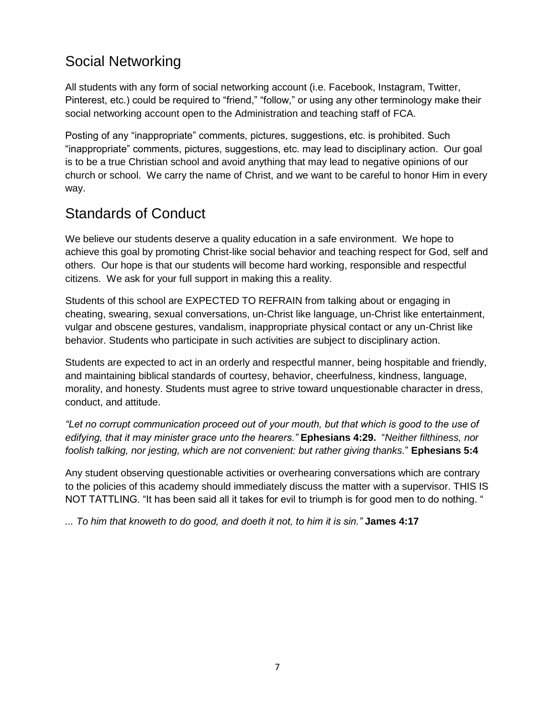# Social Networking

All students with any form of social networking account (i.e. Facebook, Instagram, Twitter, Pinterest, etc.) could be required to "friend," "follow," or using any other terminology make their social networking account open to the Administration and teaching staff of FCA.

Posting of any "inappropriate" comments, pictures, suggestions, etc. is prohibited. Such "inappropriate" comments, pictures, suggestions, etc. may lead to disciplinary action. Our goal is to be a true Christian school and avoid anything that may lead to negative opinions of our church or school. We carry the name of Christ, and we want to be careful to honor Him in every way.

# Standards of Conduct

We believe our students deserve a quality education in a safe environment. We hope to achieve this goal by promoting Christ-like social behavior and teaching respect for God, self and others. Our hope is that our students will become hard working, responsible and respectful citizens. We ask for your full support in making this a reality.

Students of this school are EXPECTED TO REFRAIN from talking about or engaging in cheating, swearing, sexual conversations, un-Christ like language, un-Christ like entertainment, vulgar and obscene gestures, vandalism, inappropriate physical contact or any un-Christ like behavior. Students who participate in such activities are subject to disciplinary action.

Students are expected to act in an orderly and respectful manner, being hospitable and friendly, and maintaining biblical standards of courtesy, behavior, cheerfulness, kindness, language, morality, and honesty. Students must agree to strive toward unquestionable character in dress, conduct, and attitude.

*"Let no corrupt communication proceed out of your mouth, but that which is good to the use of edifying, that it may minister grace unto the hearers."* **Ephesians 4:29.** "*Neither filthiness, nor foolish talking, nor jesting, which are not convenient: but rather giving thanks.*" **Ephesians 5:4**

Any student observing questionable activities or overhearing conversations which are contrary to the policies of this academy should immediately discuss the matter with a supervisor. THIS IS NOT TATTLING. "It has been said all it takes for evil to triumph is for good men to do nothing. "

*... To him that knoweth to do good, and doeth it not, to him it is sin."* **James 4:17**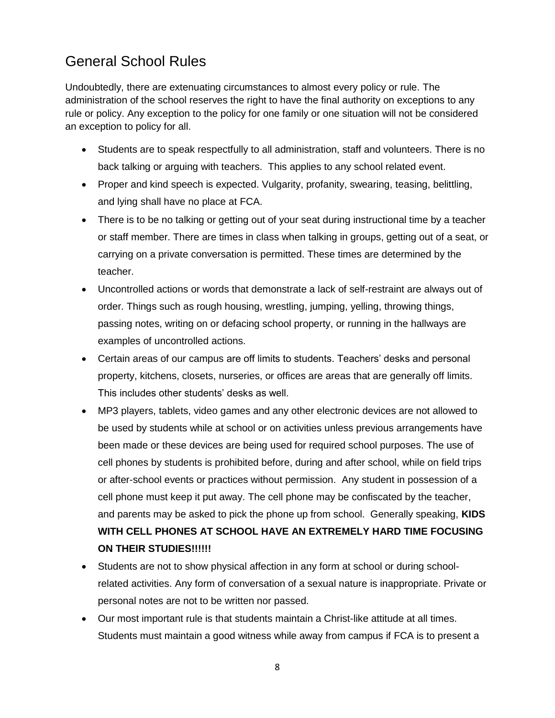### General School Rules

Undoubtedly, there are extenuating circumstances to almost every policy or rule. The administration of the school reserves the right to have the final authority on exceptions to any rule or policy. Any exception to the policy for one family or one situation will not be considered an exception to policy for all.

- Students are to speak respectfully to all administration, staff and volunteers. There is no back talking or arguing with teachers. This applies to any school related event.
- Proper and kind speech is expected. Vulgarity, profanity, swearing, teasing, belittling, and lying shall have no place at FCA.
- There is to be no talking or getting out of your seat during instructional time by a teacher or staff member. There are times in class when talking in groups, getting out of a seat, or carrying on a private conversation is permitted. These times are determined by the teacher.
- Uncontrolled actions or words that demonstrate a lack of self-restraint are always out of order. Things such as rough housing, wrestling, jumping, yelling, throwing things, passing notes, writing on or defacing school property, or running in the hallways are examples of uncontrolled actions.
- Certain areas of our campus are off limits to students. Teachers' desks and personal property, kitchens, closets, nurseries, or offices are areas that are generally off limits. This includes other students' desks as well.
- MP3 players, tablets, video games and any other electronic devices are not allowed to be used by students while at school or on activities unless previous arrangements have been made or these devices are being used for required school purposes. The use of cell phones by students is prohibited before, during and after school, while on field trips or after-school events or practices without permission. Any student in possession of a cell phone must keep it put away. The cell phone may be confiscated by the teacher, and parents may be asked to pick the phone up from school. Generally speaking, **KIDS WITH CELL PHONES AT SCHOOL HAVE AN EXTREMELY HARD TIME FOCUSING ON THEIR STUDIES!!!!!!**
- Students are not to show physical affection in any form at school or during schoolrelated activities. Any form of conversation of a sexual nature is inappropriate. Private or personal notes are not to be written nor passed.
- Our most important rule is that students maintain a Christ-like attitude at all times. Students must maintain a good witness while away from campus if FCA is to present a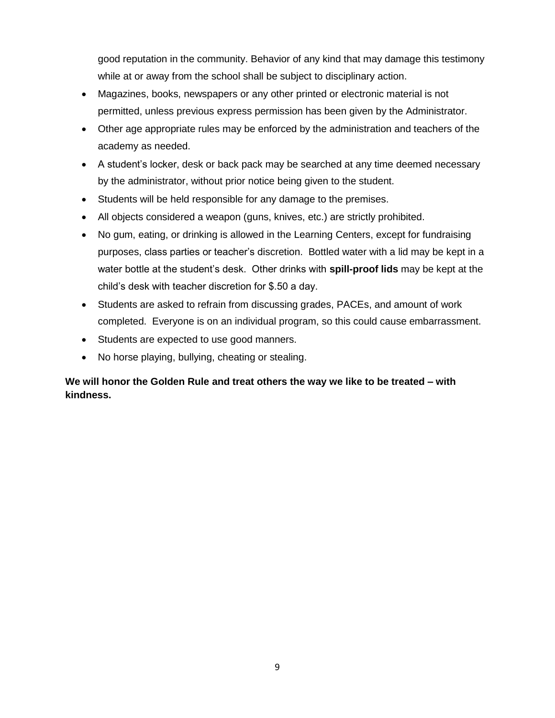good reputation in the community. Behavior of any kind that may damage this testimony while at or away from the school shall be subject to disciplinary action.

- Magazines, books, newspapers or any other printed or electronic material is not permitted, unless previous express permission has been given by the Administrator.
- Other age appropriate rules may be enforced by the administration and teachers of the academy as needed.
- A student's locker, desk or back pack may be searched at any time deemed necessary by the administrator, without prior notice being given to the student.
- Students will be held responsible for any damage to the premises.
- All objects considered a weapon (guns, knives, etc.) are strictly prohibited.
- No gum, eating, or drinking is allowed in the Learning Centers, except for fundraising purposes, class parties or teacher's discretion. Bottled water with a lid may be kept in a water bottle at the student's desk. Other drinks with **spill-proof lids** may be kept at the child's desk with teacher discretion for \$.50 a day.
- Students are asked to refrain from discussing grades, PACEs, and amount of work completed. Everyone is on an individual program, so this could cause embarrassment.
- Students are expected to use good manners.
- No horse playing, bullying, cheating or stealing.

#### **We will honor the Golden Rule and treat others the way we like to be treated – with kindness.**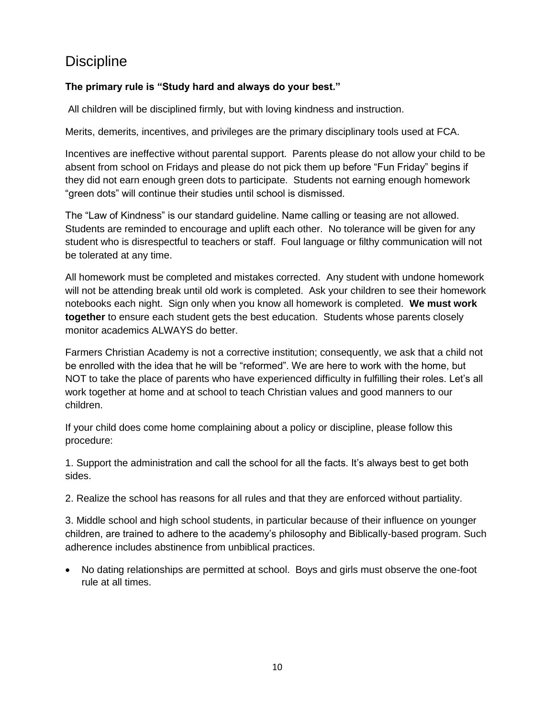### **Discipline**

#### **The primary rule is "Study hard and always do your best."**

All children will be disciplined firmly, but with loving kindness and instruction.

Merits, demerits, incentives, and privileges are the primary disciplinary tools used at FCA.

Incentives are ineffective without parental support. Parents please do not allow your child to be absent from school on Fridays and please do not pick them up before "Fun Friday" begins if they did not earn enough green dots to participate. Students not earning enough homework "green dots" will continue their studies until school is dismissed.

The "Law of Kindness" is our standard guideline. Name calling or teasing are not allowed. Students are reminded to encourage and uplift each other. No tolerance will be given for any student who is disrespectful to teachers or staff. Foul language or filthy communication will not be tolerated at any time.

All homework must be completed and mistakes corrected. Any student with undone homework will not be attending break until old work is completed. Ask your children to see their homework notebooks each night. Sign only when you know all homework is completed. **We must work together** to ensure each student gets the best education. Students whose parents closely monitor academics ALWAYS do better.

Farmers Christian Academy is not a corrective institution; consequently, we ask that a child not be enrolled with the idea that he will be "reformed". We are here to work with the home, but NOT to take the place of parents who have experienced difficulty in fulfilling their roles. Let's all work together at home and at school to teach Christian values and good manners to our children.

If your child does come home complaining about a policy or discipline, please follow this procedure:

1. Support the administration and call the school for all the facts. It's always best to get both sides.

2. Realize the school has reasons for all rules and that they are enforced without partiality.

3. Middle school and high school students, in particular because of their influence on younger children, are trained to adhere to the academy's philosophy and Biblically-based program. Such adherence includes abstinence from unbiblical practices.

 No dating relationships are permitted at school. Boys and girls must observe the one-foot rule at all times.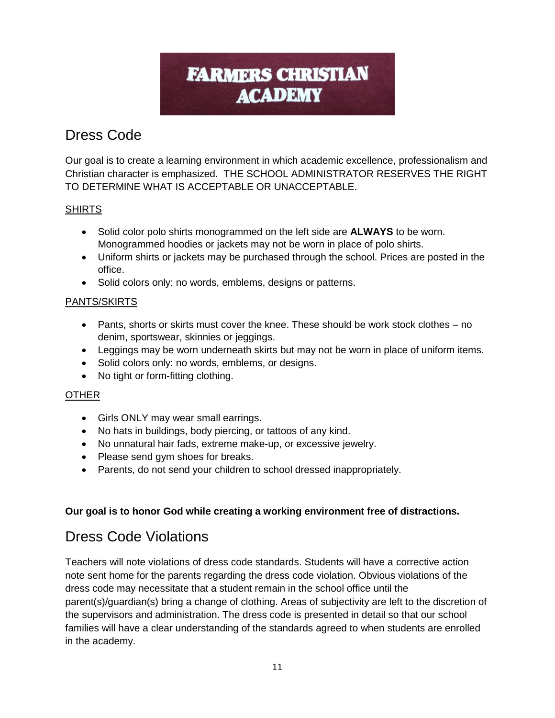# **FARMERS CHRISTIAN ACADEMY**

# Dress Code

Our goal is to create a learning environment in which academic excellence, professionalism and Christian character is emphasized. THE SCHOOL ADMINISTRATOR RESERVES THE RIGHT TO DETERMINE WHAT IS ACCEPTABLE OR UNACCEPTABLE.

#### SHIRTS

- Solid color polo shirts monogrammed on the left side are **ALWAYS** to be worn. Monogrammed hoodies or jackets may not be worn in place of polo shirts.
- Uniform shirts or jackets may be purchased through the school. Prices are posted in the office.
- Solid colors only: no words, emblems, designs or patterns.

#### PANTS/SKIRTS

- Pants, shorts or skirts must cover the knee. These should be work stock clothes no denim, sportswear, skinnies or jeggings.
- Leggings may be worn underneath skirts but may not be worn in place of uniform items.
- Solid colors only: no words, emblems, or designs.
- No tight or form-fitting clothing.

#### **OTHER**

- Girls ONLY may wear small earrings.
- No hats in buildings, body piercing, or tattoos of any kind.
- No unnatural hair fads, extreme make-up, or excessive jewelry.
- Please send gym shoes for breaks.
- Parents, do not send your children to school dressed inappropriately.

#### **Our goal is to honor God while creating a working environment free of distractions.**

### Dress Code Violations

Teachers will note violations of dress code standards. Students will have a corrective action note sent home for the parents regarding the dress code violation. Obvious violations of the dress code may necessitate that a student remain in the school office until the parent(s)/guardian(s) bring a change of clothing. Areas of subjectivity are left to the discretion of the supervisors and administration. The dress code is presented in detail so that our school families will have a clear understanding of the standards agreed to when students are enrolled in the academy.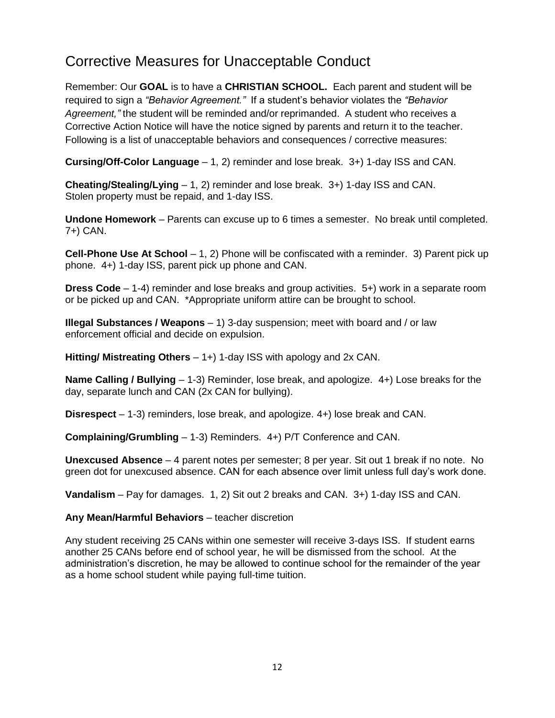### Corrective Measures for Unacceptable Conduct

Remember: Our **GOAL** is to have a **CHRISTIAN SCHOOL.** Each parent and student will be required to sign a *"Behavior Agreement."* If a student's behavior violates the *"Behavior Agreement,"* the student will be reminded and/or reprimanded. A student who receives a Corrective Action Notice will have the notice signed by parents and return it to the teacher. Following is a list of unacceptable behaviors and consequences / corrective measures:

**Cursing/Off-Color Language** – 1, 2) reminder and lose break. 3+) 1-day ISS and CAN.

**Cheating/Stealing/Lying** – 1, 2) reminder and lose break. 3+) 1-day ISS and CAN. Stolen property must be repaid, and 1-day ISS.

**Undone Homework** – Parents can excuse up to 6 times a semester. No break until completed. 7+) CAN.

**Cell-Phone Use At School** – 1, 2) Phone will be confiscated with a reminder. 3) Parent pick up phone. 4+) 1-day ISS, parent pick up phone and CAN.

**Dress Code** – 1-4) reminder and lose breaks and group activities. 5+) work in a separate room or be picked up and CAN. \*Appropriate uniform attire can be brought to school.

**Illegal Substances / Weapons** – 1) 3-day suspension; meet with board and / or law enforcement official and decide on expulsion.

**Hitting/ Mistreating Others** – 1+) 1-day ISS with apology and 2x CAN.

**Name Calling / Bullying** – 1-3) Reminder, lose break, and apologize. 4+) Lose breaks for the day, separate lunch and CAN (2x CAN for bullying).

**Disrespect** – 1-3) reminders, lose break, and apologize. 4+) lose break and CAN.

**Complaining/Grumbling** – 1-3) Reminders. 4+) P/T Conference and CAN.

**Unexcused Absence** – 4 parent notes per semester; 8 per year. Sit out 1 break if no note. No green dot for unexcused absence. CAN for each absence over limit unless full day's work done.

**Vandalism** – Pay for damages. 1, 2) Sit out 2 breaks and CAN. 3+) 1-day ISS and CAN.

**Any Mean/Harmful Behaviors** – teacher discretion

Any student receiving 25 CANs within one semester will receive 3-days ISS. If student earns another 25 CANs before end of school year, he will be dismissed from the school. At the administration's discretion, he may be allowed to continue school for the remainder of the year as a home school student while paying full-time tuition.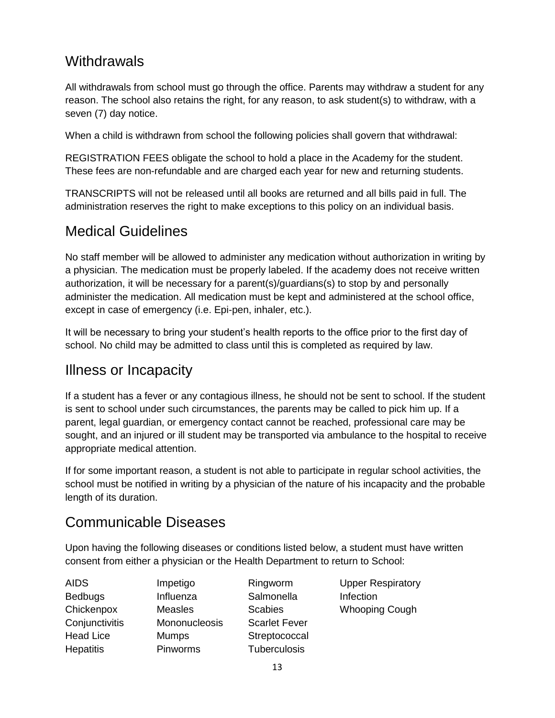### **Withdrawals**

All withdrawals from school must go through the office. Parents may withdraw a student for any reason. The school also retains the right, for any reason, to ask student(s) to withdraw, with a seven (7) day notice.

When a child is withdrawn from school the following policies shall govern that withdrawal:

REGISTRATION FEES obligate the school to hold a place in the Academy for the student. These fees are non-refundable and are charged each year for new and returning students.

TRANSCRIPTS will not be released until all books are returned and all bills paid in full. The administration reserves the right to make exceptions to this policy on an individual basis.

### Medical Guidelines

No staff member will be allowed to administer any medication without authorization in writing by a physician. The medication must be properly labeled. If the academy does not receive written authorization, it will be necessary for a parent(s)/guardians(s) to stop by and personally administer the medication. All medication must be kept and administered at the school office, except in case of emergency (i.e. Epi-pen, inhaler, etc.).

It will be necessary to bring your student's health reports to the office prior to the first day of school. No child may be admitted to class until this is completed as required by law.

### Illness or Incapacity

If a student has a fever or any contagious illness, he should not be sent to school. If the student is sent to school under such circumstances, the parents may be called to pick him up. If a parent, legal guardian, or emergency contact cannot be reached, professional care may be sought, and an injured or ill student may be transported via ambulance to the hospital to receive appropriate medical attention.

If for some important reason, a student is not able to participate in regular school activities, the school must be notified in writing by a physician of the nature of his incapacity and the probable length of its duration.

### Communicable Diseases

Upon having the following diseases or conditions listed below, a student must have written consent from either a physician or the Health Department to return to School:

| AIDS             |  |
|------------------|--|
| <b>Bedbugs</b>   |  |
| Chickenpox       |  |
| Conjunctivitis   |  |
| Head Lice        |  |
| <b>Hepatitis</b> |  |

 $\overline{A}$ 

Impetigo Influenza **Measles** Mononucleosis Mumps Pinworms

Ringworm Salmonella **Scabies** Scarlet Fever **Streptococcal Tuberculosis** 

Upper Respiratory Infection Whooping Cough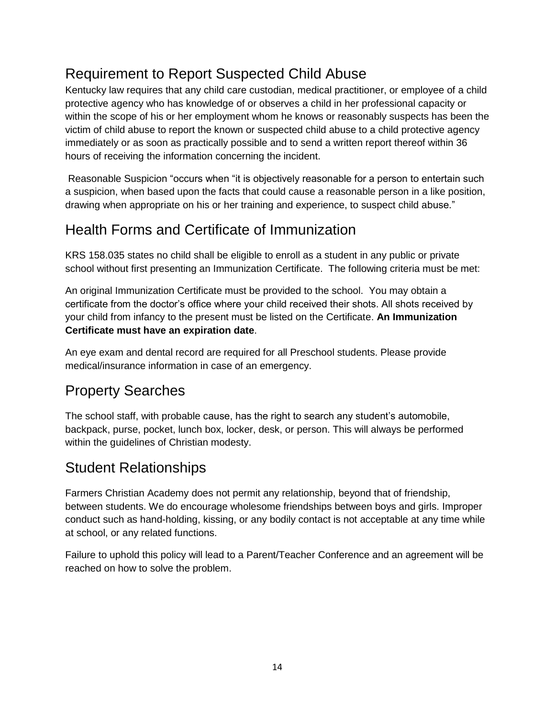# Requirement to Report Suspected Child Abuse

Kentucky law requires that any child care custodian, medical practitioner, or employee of a child protective agency who has knowledge of or observes a child in her professional capacity or within the scope of his or her employment whom he knows or reasonably suspects has been the victim of child abuse to report the known or suspected child abuse to a child protective agency immediately or as soon as practically possible and to send a written report thereof within 36 hours of receiving the information concerning the incident.

Reasonable Suspicion "occurs when "it is objectively reasonable for a person to entertain such a suspicion, when based upon the facts that could cause a reasonable person in a like position, drawing when appropriate on his or her training and experience, to suspect child abuse."

# Health Forms and Certificate of Immunization

KRS 158.035 states no child shall be eligible to enroll as a student in any public or private school without first presenting an Immunization Certificate. The following criteria must be met:

An original Immunization Certificate must be provided to the school. You may obtain a certificate from the doctor's office where your child received their shots. All shots received by your child from infancy to the present must be listed on the Certificate. **An Immunization Certificate must have an expiration date**.

An eye exam and dental record are required for all Preschool students. Please provide medical/insurance information in case of an emergency.

### Property Searches

The school staff, with probable cause, has the right to search any student's automobile, backpack, purse, pocket, lunch box, locker, desk, or person. This will always be performed within the guidelines of Christian modesty.

# Student Relationships

Farmers Christian Academy does not permit any relationship, beyond that of friendship, between students. We do encourage wholesome friendships between boys and girls. Improper conduct such as hand-holding, kissing, or any bodily contact is not acceptable at any time while at school, or any related functions.

Failure to uphold this policy will lead to a Parent/Teacher Conference and an agreement will be reached on how to solve the problem.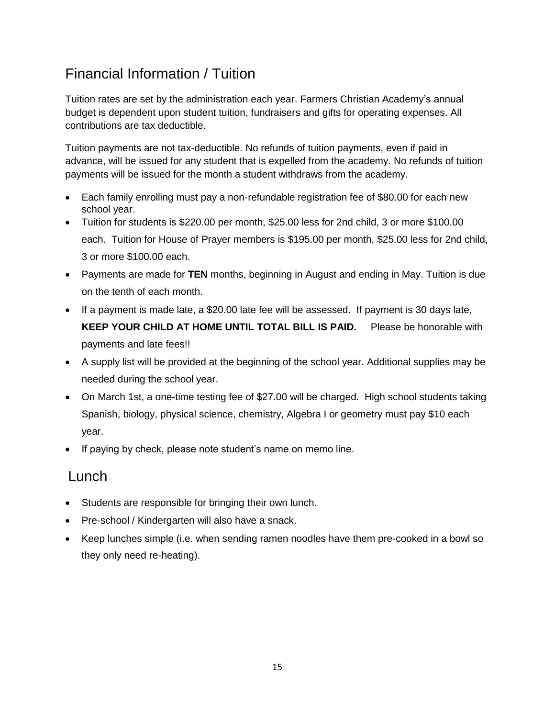# Financial Information / Tuition

Tuition rates are set by the administration each year. Farmers Christian Academy's annual budget is dependent upon student tuition, fundraisers and gifts for operating expenses. All contributions are tax deductible.

Tuition payments are not tax-deductible. No refunds of tuition payments, even if paid in advance, will be issued for any student that is expelled from the academy. No refunds of tuition payments will be issued for the month a student withdraws from the academy.

- Each family enrolling must pay a non-refundable registration fee of \$80.00 for each new school year.
- Tuition for students is \$220.00 per month, \$25.00 less for 2nd child, 3 or more \$100.00 each. Tuition for House of Prayer members is \$195.00 per month, \$25.00 less for 2nd child, 3 or more \$100.00 each.
- Payments are made for **TEN** months, beginning in August and ending in May. Tuition is due on the tenth of each month.
- If a payment is made late, a \$20.00 late fee will be assessed. If payment is 30 days late, **KEEP YOUR CHILD AT HOME UNTIL TOTAL BILL IS PAID.** Please be honorable with payments and late fees!!
- A supply list will be provided at the beginning of the school year. Additional supplies may be needed during the school year.
- On March 1st, a one-time testing fee of \$27.00 will be charged. High school students taking Spanish, biology, physical science, chemistry, Algebra I or geometry must pay \$10 each year.
- If paying by check, please note student's name on memo line.

### **Lunch**

- Students are responsible for bringing their own lunch.
- Pre-school / Kindergarten will also have a snack.
- Keep lunches simple (i.e. when sending ramen noodles have them pre-cooked in a bowl so they only need re-heating).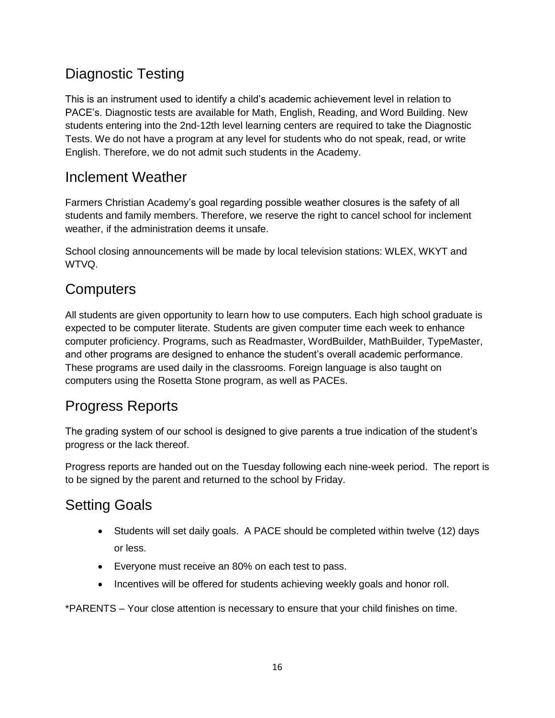# Diagnostic Testing

This is an instrument used to identify a child's academic achievement level in relation to PACE's. Diagnostic tests are available for Math, English, Reading, and Word Building. New students entering into the 2nd-12th level learning centers are required to take the Diagnostic Tests. We do not have a program at any level for students who do not speak, read, or write English. Therefore, we do not admit such students in the Academy.

### Inclement Weather

Farmers Christian Academy's goal regarding possible weather closures is the safety of all students and family members. Therefore, we reserve the right to cancel school for inclement weather, if the administration deems it unsafe.

School closing announcements will be made by local television stations: WLEX, WKYT and WTVQ.

### **Computers**

All students are given opportunity to learn how to use computers. Each high school graduate is expected to be computer literate. Students are given computer time each week to enhance computer proficiency. Programs, such as Readmaster, WordBuilder, MathBuilder, TypeMaster, and other programs are designed to enhance the student's overall academic performance. These programs are used daily in the classrooms. Foreign language is also taught on computers using the Rosetta Stone program, as well as PACEs.

### Progress Reports

The grading system of our school is designed to give parents a true indication of the student's progress or the lack thereof.

Progress reports are handed out on the Tuesday following each nine-week period. The report is to be signed by the parent and returned to the school by Friday.

# Setting Goals

- Students will set daily goals. A PACE should be completed within twelve (12) days or less.
- Everyone must receive an 80% on each test to pass.
- Incentives will be offered for students achieving weekly goals and honor roll.

\*PARENTS – Your close attention is necessary to ensure that your child finishes on time.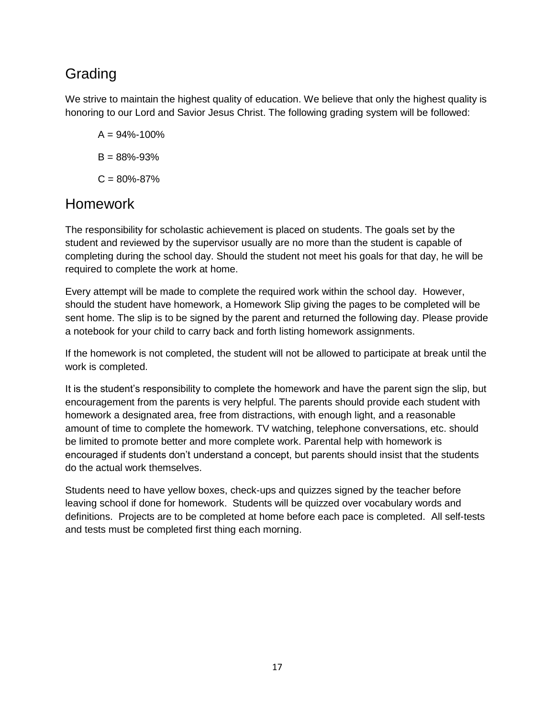# Grading

We strive to maintain the highest quality of education. We believe that only the highest quality is honoring to our Lord and Savior Jesus Christ. The following grading system will be followed:

- $A = 94\% 100\%$  $B = 88\% - 93\%$
- $C = 80\% 87\%$

### Homework

The responsibility for scholastic achievement is placed on students. The goals set by the student and reviewed by the supervisor usually are no more than the student is capable of completing during the school day. Should the student not meet his goals for that day, he will be required to complete the work at home.

Every attempt will be made to complete the required work within the school day. However, should the student have homework, a Homework Slip giving the pages to be completed will be sent home. The slip is to be signed by the parent and returned the following day. Please provide a notebook for your child to carry back and forth listing homework assignments.

If the homework is not completed, the student will not be allowed to participate at break until the work is completed.

It is the student's responsibility to complete the homework and have the parent sign the slip, but encouragement from the parents is very helpful. The parents should provide each student with homework a designated area, free from distractions, with enough light, and a reasonable amount of time to complete the homework. TV watching, telephone conversations, etc. should be limited to promote better and more complete work. Parental help with homework is encouraged if students don't understand a concept, but parents should insist that the students do the actual work themselves.

Students need to have yellow boxes, check-ups and quizzes signed by the teacher before leaving school if done for homework. Students will be quizzed over vocabulary words and definitions. Projects are to be completed at home before each pace is completed. All self-tests and tests must be completed first thing each morning.